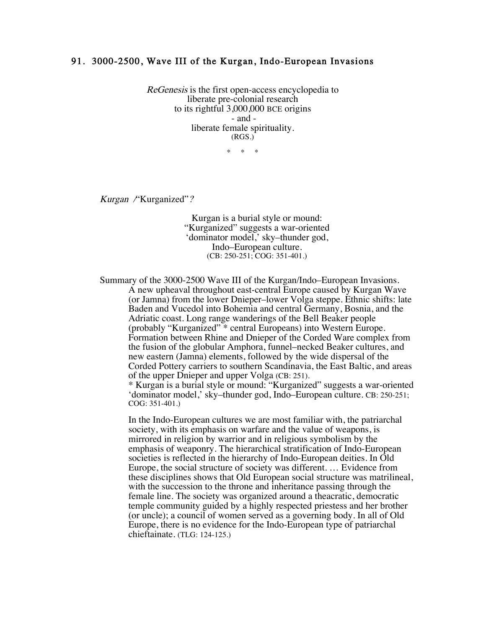## 91. 3000-2500, Wave III of the Kurgan, Indo-European Invasions

ReGenesis is the first open-access encyclopedia to liberate pre-colonial research to its rightful 3,000,000 BCE origins - and liberate female spirituality. (RGS.)

 $*$  \*

Kurgan /"Kurganized"?

Kurgan is a burial style or mound: "Kurganized" suggests a war-oriented 'dominator model,' sky–thunder god, Indo–European culture. (CB: 250-251; COG: 351-401.)

Summary of the 3000-2500 Wave III of the Kurgan/Indo–European Invasions. A new upheaval throughout east-central Europe caused by Kurgan Wave (or Jamna) from the lower Dnieper–lower Volga steppe. Ethnic shifts: late Baden and Vucedol into Bohemia and central Germany, Bosnia, and the Adriatic coast. Long range wanderings of the Bell Beaker people (probably "Kurganized" \* central Europeans) into Western Europe. Formation between Rhine and Dnieper of the Corded Ware complex from the fusion of the globular Amphora, funnel–necked Beaker cultures, and new eastern (Jamna) elements, followed by the wide dispersal of the Corded Pottery carriers to southern Scandinavia, the East Baltic, and areas of the upper Dnieper and upper Volga (CB: 251).

\* Kurgan is a burial style or mound: "Kurganized" suggests a war-oriented 'dominator model,' sky–thunder god, Indo–European culture. CB: 250-251; COG: 351-401.)

In the Indo-European cultures we are most familiar with, the patriarchal society, with its emphasis on warfare and the value of weapons, is mirrored in religion by warrior and in religious symbolism by the emphasis of weaponry. The hierarchical stratification of Indo-European societies is reflected in the hierarchy of Indo-European deities. In Old Europe, the social structure of society was different. … Evidence from these disciplines shows that Old European social structure was matrilineal, with the succession to the throne and inheritance passing through the female line. The society was organized around a theacratic, democratic temple community guided by a highly respected priestess and her brother (or uncle); a council of women served as a governing body. In all of Old Europe, there is no evidence for the Indo-European type of patriarchal chieftainate. (TLG: 124-125.)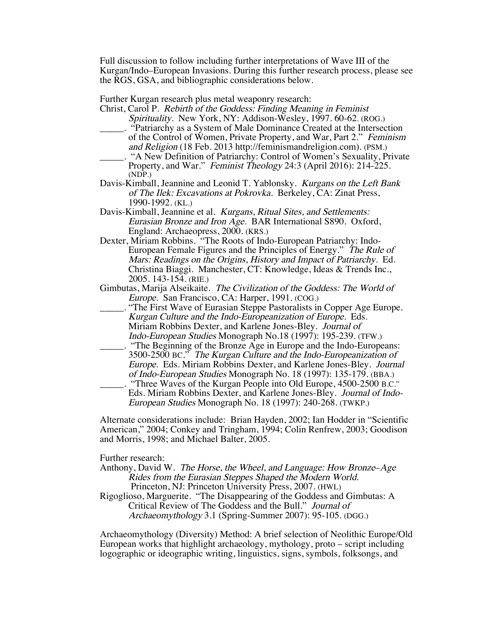Full discussion to follow including further interpretations of Wave III of the Kurgan/Indo–European Invasions. During this further research process, please see the RGS, GSA, and bibliographic considerations below.

Further Kurgan research plus metal weaponry research:

- Christ, Carol P. Rebirth of the Goddess: Finding Meaning in Feminist Spirituality. New York, NY: Addison-Wesley, 1997. 60-62. (ROG.)
- \_\_\_\_\_. "Patriarchy as a System of Male Dominance Created at the Intersection of the Control of Women, Private Property, and War, Part 2." Feminism and Religion (18 Feb. 2013 http://feminismandreligion.com). (PSM.)
- \_\_\_\_\_. "A New Definition of Patriarchy: Control of Women's Sexuality, Private Property, and War." *Feminist Theology* 24:3 (April 2016): 214-225. (NDP.)
- Davis-Kimball, Jeannine and Leonid T. Yablonsky. Kurgans on the Left Bank of The Ilek: Excavations at Pokrovka. Berkeley, CA: Zinat Press, 1990-1992. (KL.)
- Davis-Kimball, Jeannine et al. Kurgans, Ritual Sites, and Settlements: Eurasian Bronze and Iron Age. BAR International S890. Oxford, England: Archaeopress, 2000. (KRS.)
- Dexter, Miriam Robbins. "The Roots of Indo-European Patriarchy: Indo-European Female Figures and the Principles of Energy." The Rule of Mars: Readings on the Origins, History and Impact of Patriarchy. Ed. Christina Biaggi. Manchester, CT: Knowledge, Ideas & Trends Inc., 2005. 143-154. (RIE.)
- Gimbutas, Marija Alseikaite. The Civilization of the Goddess: The World of Europe. San Francisco, CA: Harper, 1991. (COG.)
- \_\_\_\_\_. "The First Wave of Eurasian Steppe Pastoralists in Copper Age Europe. Kurgan Culture and the Indo-Europeanization of Europe. Eds. Miriam Robbins Dexter, and Karlene Jones-Bley. Journal of Indo-European Studies Monograph No.18 (1997): 195-239. (TFW.)
- \_\_\_\_\_. "The Beginning of the Bronze Age in Europe and the Indo-Europeans: 3500-2500 BC." The Kurgan Culture and the Indo-Europeanization of Europe. Eds. Miriam Robbins Dexter, and Karlene Jones-Bley. Journal of Indo-European Studies Monograph No. 18 (1997): 135-179. (BBA.) "Three Waves of the Kurgan People into Old Europe, 4500-2500 B.C."
- Eds. Miriam Robbins Dexter, and Karlene Jones-Bley. Journal of Indo-European Studies Monograph No. 18 (1997): 240-268. (TWKP.)

Alternate considerations include: Brian Hayden, 2002; Ian Hodder in "Scientific American," 2004; Conkey and Tringham, 1994; Colin Renfrew, 2003; Goodison and Morris, 1998; and Michael Balter, 2005.

Further research:

- Anthony, David W. The Horse, the Wheel, and Language: How Bronze–Age Rides from the Eurasian Steppes Shaped the Modern World. Princeton, NJ: Princeton University Press, 2007. (HWL)
- Rigoglioso, Marguerite. "The Disappearing of the Goddess and Gimbutas: A Critical Review of The Goddess and the Bull." Journal of Archaeomythology 3.1 (Spring-Summer 2007): 95-105. (DGG.)

Archaeomythology (Diversity) Method: A brief selection of Neolithic Europe/Old European works that highlight archaeology, mythology, proto – script including logographic or ideographic writing, linguistics, signs, symbols, folksongs, and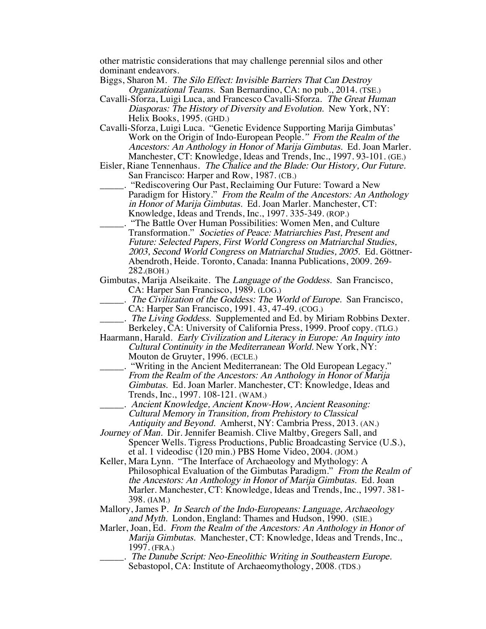other matristic considerations that may challenge perennial silos and other dominant endeavors.

Biggs, Sharon M. The Silo Effect: Invisible Barriers That Can Destroy Organizational Teams. San Bernardino, CA: no pub., 2014. (TSE.)

- Cavalli-Sforza, Luigi Luca, and Francesco Cavalli-Sforza. The Great Human Diasporas: The History of Diversity and Evolution. New York, NY: Helix Books, 1995. (GHD.)
- Cavalli-Sforza, Luigi Luca. "Genetic Evidence Supporting Marija Gimbutas' Work on the Origin of Indo-European People." From the Realm of the Ancestors: An Anthology in Honor of Marija Gimbutas. Ed. Joan Marler. Manchester, CT: Knowledge, Ideas and Trends, Inc., 1997. 93-101. (GE.)
- Eisler, Riane Tennenhaus. The Chalice and the Blade: Our History, Our Future. San Francisco: Harper and Row, 1987. (CB.)
- \_\_\_\_\_. "Rediscovering Our Past, Reclaiming Our Future: Toward a New Paradigm for History." From the Realm of the Ancestors: An Anthology in Honor of Marija Gimbutas. Ed. Joan Marler. Manchester, CT: Knowledge, Ideas and Trends, Inc., 1997. 335-349. (ROP.)
- \_\_\_\_\_. "The Battle Over Human Possibilities: Women Men, and Culture Transformation." Societies of Peace: Matriarchies Past, Present and Future: Selected Papers, First World Congress on Matriarchal Studies, 2003, Second World Congress on Matriarchal Studies, 2005. Ed. Göttner-Abendroth, Heide. Toronto, Canada: Inanna Publications, 2009. 269- 282.(BOH.)
- Gimbutas, Marija Alseikaite. The Language of the Goddess. San Francisco, CA: Harper San Francisco, 1989. (LOG.)
	- . The Civilization of the Goddess: The World of Europe. San Francisco, CA: Harper San Francisco, 1991. 43, 47-49. (COG.)
	- . The Living Goddess. Supplemented and Ed. by Miriam Robbins Dexter. Berkeley, CA: University of California Press, 1999. Proof copy. (TLG.)
- Haarmann, Harald. Early Civilization and Literacy in Europe: An Inquiry into Cultural Continuity in the Mediterranean World. New York, NY: Mouton de Gruyter, 1996. (ECLE.)
- "Writing in the Ancient Mediterranean: The Old European Legacy." From the Realm of the Ancestors: An Anthology in Honor of Marija Gimbutas. Ed. Joan Marler. Manchester, CT: Knowledge, Ideas and Trends, Inc., 1997. 108-121. (WAM.)
	- \_\_\_\_\_. Ancient Knowledge, Ancient Know-How, Ancient Reasoning: Cultural Memory in Transition, from Prehistory to Classical Antiquity and Beyond. Amherst, NY: Cambria Press, 2013. (AN.)
- Journey of Man. Dir. Jennifer Beamish. Clive Maltby, Gregers Sall, and Spencer Wells. Tigress Productions, Public Broadcasting Service (U.S.), et al. 1 videodisc (120 min.) PBS Home Video, 2004. (JOM.)
- Keller, Mara Lynn. "The Interface of Archaeology and Mythology: A Philosophical Evaluation of the Gimbutas Paradigm." From the Realm of the Ancestors: An Anthology in Honor of Marija Gimbutas. Ed. Joan Marler. Manchester, CT: Knowledge, Ideas and Trends, Inc., 1997. 381- 398. (IAM.)
- Mallory, James P. In Search of the Indo-Europeans: Language, Archaeology and Myth. London, England: Thames and Hudson, 1990. (SIE.)
- Marler, Joan, Ed. From the Realm of the Ancestors: An Anthology in Honor of Marija Gimbutas. Manchester, CT: Knowledge, Ideas and Trends, Inc., 1997. (FRA.)
	- \_\_\_\_\_. The Danube Script: Neo-Eneolithic Writing in Southeastern Europe. Sebastopol, CA: Institute of Archaeomythology, 2008. (TDS.)